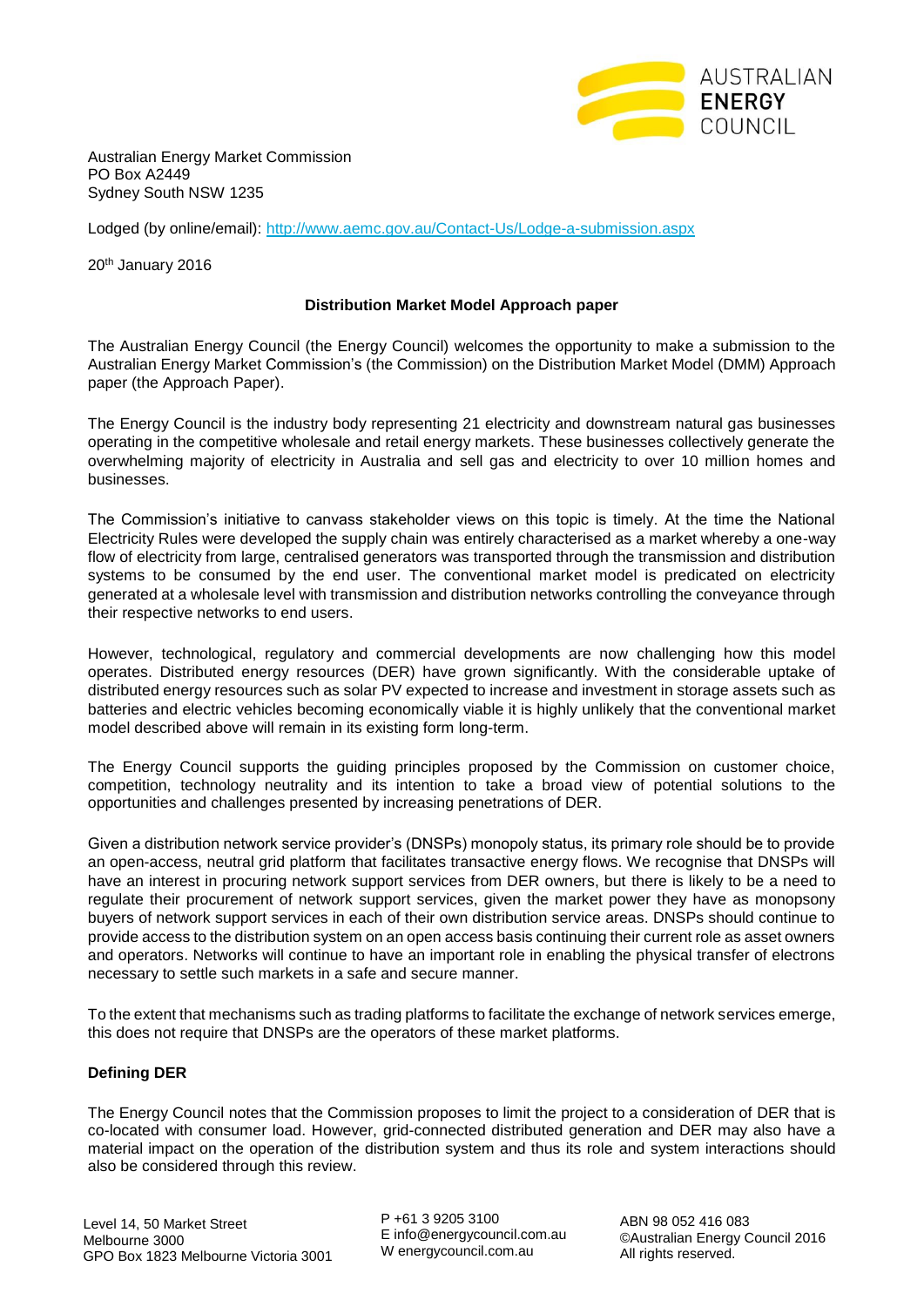

Australian Energy Market Commission PO Box A2449 Sydney South NSW 1235

Lodged (by online/email):<http://www.aemc.gov.au/Contact-Us/Lodge-a-submission.aspx>

20<sup>th</sup> January 2016

## **Distribution Market Model Approach paper**

The Australian Energy Council (the Energy Council) welcomes the opportunity to make a submission to the Australian Energy Market Commission's (the Commission) on the Distribution Market Model (DMM) Approach paper (the Approach Paper).

The Energy Council is the industry body representing 21 electricity and downstream natural gas businesses operating in the competitive wholesale and retail energy markets. These businesses collectively generate the overwhelming majority of electricity in Australia and sell gas and electricity to over 10 million homes and businesses.

The Commission's initiative to canvass stakeholder views on this topic is timely. At the time the National Electricity Rules were developed the supply chain was entirely characterised as a market whereby a one-way flow of electricity from large, centralised generators was transported through the transmission and distribution systems to be consumed by the end user. The conventional market model is predicated on electricity generated at a wholesale level with transmission and distribution networks controlling the conveyance through their respective networks to end users.

However, technological, regulatory and commercial developments are now challenging how this model operates. Distributed energy resources (DER) have grown significantly. With the considerable uptake of distributed energy resources such as solar PV expected to increase and investment in storage assets such as batteries and electric vehicles becoming economically viable it is highly unlikely that the conventional market model described above will remain in its existing form long-term.

The Energy Council supports the guiding principles proposed by the Commission on customer choice, competition, technology neutrality and its intention to take a broad view of potential solutions to the opportunities and challenges presented by increasing penetrations of DER.

Given a distribution network service provider's (DNSPs) monopoly status, its primary role should be to provide an open-access, neutral grid platform that facilitates transactive energy flows. We recognise that DNSPs will have an interest in procuring network support services from DER owners, but there is likely to be a need to regulate their procurement of network support services, given the market power they have as monopsony buyers of network support services in each of their own distribution service areas. DNSPs should continue to provide access to the distribution system on an open access basis continuing their current role as asset owners and operators. Networks will continue to have an important role in enabling the physical transfer of electrons necessary to settle such markets in a safe and secure manner.

To the extent that mechanisms such as trading platforms to facilitate the exchange of network services emerge, this does not require that DNSPs are the operators of these market platforms.

# **Defining DER**

The Energy Council notes that the Commission proposes to limit the project to a consideration of DER that is co-located with consumer load. However, grid-connected distributed generation and DER may also have a material impact on the operation of the distribution system and thus its role and system interactions should also be considered through this review.

P +61 3 9205 3100 E info@energycouncil.com.au W energycouncil.com.au

ABN 98 052 416 083 ©Australian Energy Council 2016 All rights reserved.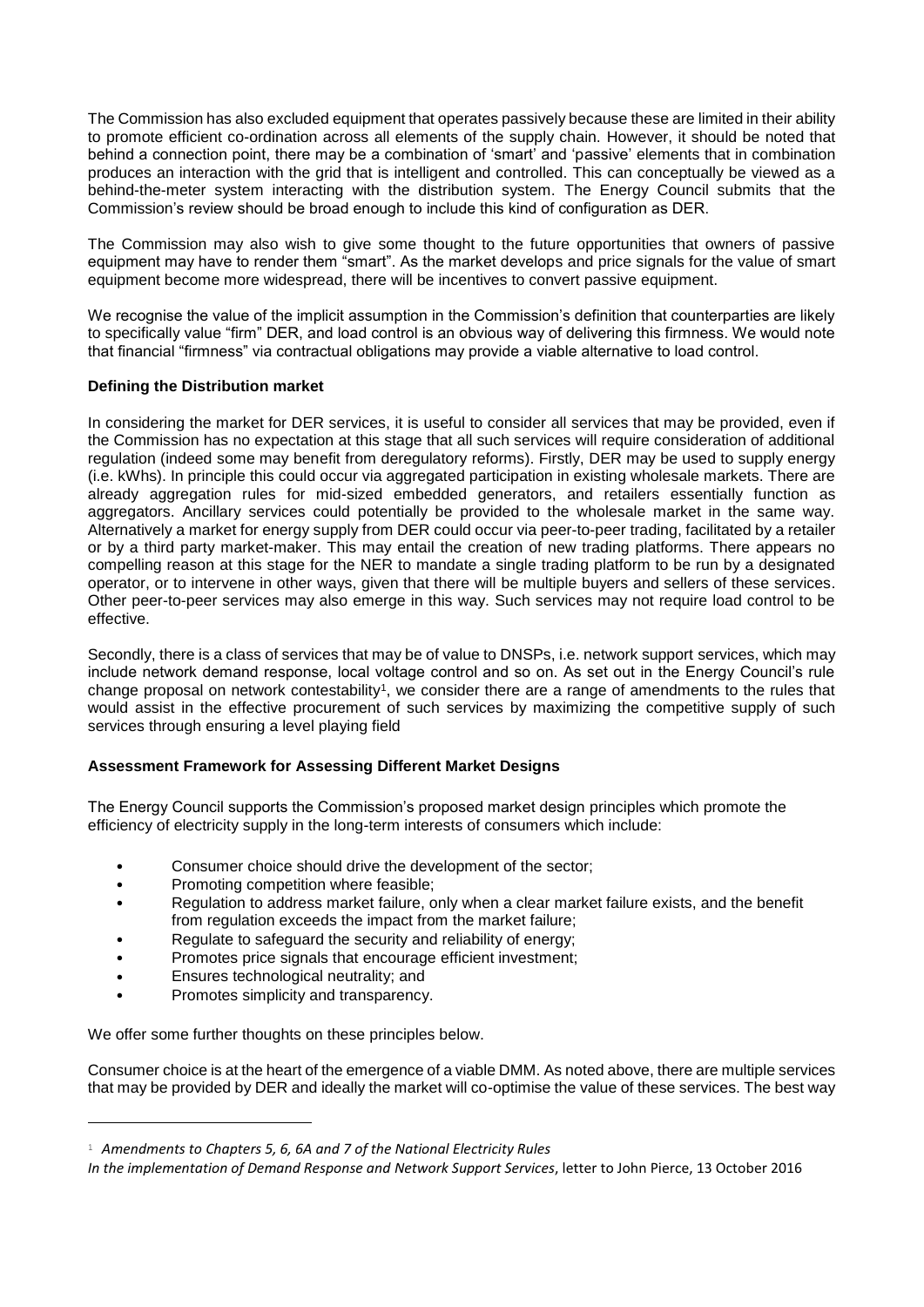The Commission has also excluded equipment that operates passively because these are limited in their ability to promote efficient co-ordination across all elements of the supply chain. However, it should be noted that behind a connection point, there may be a combination of 'smart' and 'passive' elements that in combination produces an interaction with the grid that is intelligent and controlled. This can conceptually be viewed as a behind-the-meter system interacting with the distribution system. The Energy Council submits that the Commission's review should be broad enough to include this kind of configuration as DER.

The Commission may also wish to give some thought to the future opportunities that owners of passive equipment may have to render them "smart". As the market develops and price signals for the value of smart equipment become more widespread, there will be incentives to convert passive equipment.

We recognise the value of the implicit assumption in the Commission's definition that counterparties are likely to specifically value "firm" DER, and load control is an obvious way of delivering this firmness. We would note that financial "firmness" via contractual obligations may provide a viable alternative to load control.

# **Defining the Distribution market**

In considering the market for DER services, it is useful to consider all services that may be provided, even if the Commission has no expectation at this stage that all such services will require consideration of additional regulation (indeed some may benefit from deregulatory reforms). Firstly, DER may be used to supply energy (i.e. kWhs). In principle this could occur via aggregated participation in existing wholesale markets. There are already aggregation rules for mid-sized embedded generators, and retailers essentially function as aggregators. Ancillary services could potentially be provided to the wholesale market in the same way. Alternatively a market for energy supply from DER could occur via peer-to-peer trading, facilitated by a retailer or by a third party market-maker. This may entail the creation of new trading platforms. There appears no compelling reason at this stage for the NER to mandate a single trading platform to be run by a designated operator, or to intervene in other ways, given that there will be multiple buyers and sellers of these services. Other peer-to-peer services may also emerge in this way. Such services may not require load control to be effective.

Secondly, there is a class of services that may be of value to DNSPs, i.e. network support services, which may include network demand response, local voltage control and so on. As set out in the Energy Council's rule change proposal on network contestability<sup>1</sup>, we consider there are a range of amendments to the rules that would assist in the effective procurement of such services by maximizing the competitive supply of such services through ensuring a level playing field

# **Assessment Framework for Assessing Different Market Designs**

The Energy Council supports the Commission's proposed market design principles which promote the efficiency of electricity supply in the long-term interests of consumers which include:

- Consumer choice should drive the development of the sector;
- Promoting competition where feasible;
- Regulation to address market failure, only when a clear market failure exists, and the benefit from regulation exceeds the impact from the market failure;
- Regulate to safeguard the security and reliability of energy;
- Promotes price signals that encourage efficient investment;
- Ensures technological neutrality; and
- Promotes simplicity and transparency.

-

We offer some further thoughts on these principles below.

Consumer choice is at the heart of the emergence of a viable DMM. As noted above, there are multiple services that may be provided by DER and ideally the market will co-optimise the value of these services. The best way

<sup>1</sup> *Amendments to Chapters 5, 6, 6A and 7 of the National Electricity Rules*

*In the implementation of Demand Response and Network Support Services*, letter to John Pierce, 13 October 2016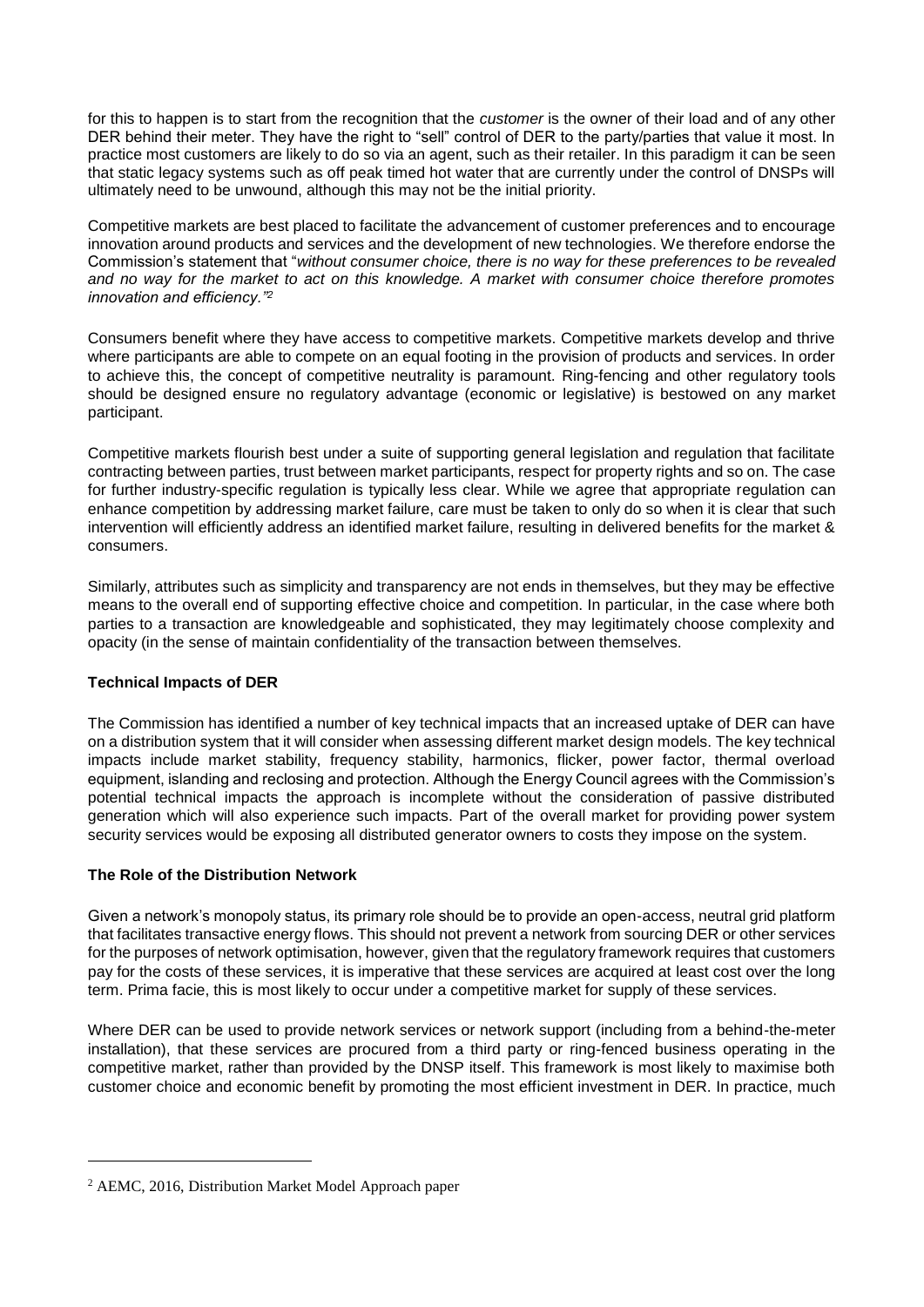for this to happen is to start from the recognition that the *customer* is the owner of their load and of any other DER behind their meter. They have the right to "sell" control of DER to the party/parties that value it most. In practice most customers are likely to do so via an agent, such as their retailer. In this paradigm it can be seen that static legacy systems such as off peak timed hot water that are currently under the control of DNSPs will ultimately need to be unwound, although this may not be the initial priority.

Competitive markets are best placed to facilitate the advancement of customer preferences and to encourage innovation around products and services and the development of new technologies. We therefore endorse the Commission's statement that "*without consumer choice, there is no way for these preferences to be revealed and no way for the market to act on this knowledge. A market with consumer choice therefore promotes innovation and efficiency."<sup>2</sup>*

Consumers benefit where they have access to competitive markets. Competitive markets develop and thrive where participants are able to compete on an equal footing in the provision of products and services. In order to achieve this, the concept of competitive neutrality is paramount. Ring-fencing and other regulatory tools should be designed ensure no regulatory advantage (economic or legislative) is bestowed on any market participant.

Competitive markets flourish best under a suite of supporting general legislation and regulation that facilitate contracting between parties, trust between market participants, respect for property rights and so on. The case for further industry-specific regulation is typically less clear. While we agree that appropriate regulation can enhance competition by addressing market failure, care must be taken to only do so when it is clear that such intervention will efficiently address an identified market failure, resulting in delivered benefits for the market & consumers.

Similarly, attributes such as simplicity and transparency are not ends in themselves, but they may be effective means to the overall end of supporting effective choice and competition. In particular, in the case where both parties to a transaction are knowledgeable and sophisticated, they may legitimately choose complexity and opacity (in the sense of maintain confidentiality of the transaction between themselves.

# **Technical Impacts of DER**

The Commission has identified a number of key technical impacts that an increased uptake of DER can have on a distribution system that it will consider when assessing different market design models. The key technical impacts include market stability, frequency stability, harmonics, flicker, power factor, thermal overload equipment, islanding and reclosing and protection. Although the Energy Council agrees with the Commission's potential technical impacts the approach is incomplete without the consideration of passive distributed generation which will also experience such impacts. Part of the overall market for providing power system security services would be exposing all distributed generator owners to costs they impose on the system.

# **The Role of the Distribution Network**

Given a network's monopoly status, its primary role should be to provide an open-access, neutral grid platform that facilitates transactive energy flows. This should not prevent a network from sourcing DER or other services for the purposes of network optimisation, however, given that the regulatory framework requires that customers pay for the costs of these services, it is imperative that these services are acquired at least cost over the long term. Prima facie, this is most likely to occur under a competitive market for supply of these services.

Where DER can be used to provide network services or network support (including from a behind-the-meter installation), that these services are procured from a third party or ring-fenced business operating in the competitive market, rather than provided by the DNSP itself. This framework is most likely to maximise both customer choice and economic benefit by promoting the most efficient investment in DER. In practice, much

-

<sup>2</sup> AEMC, 2016, Distribution Market Model Approach paper